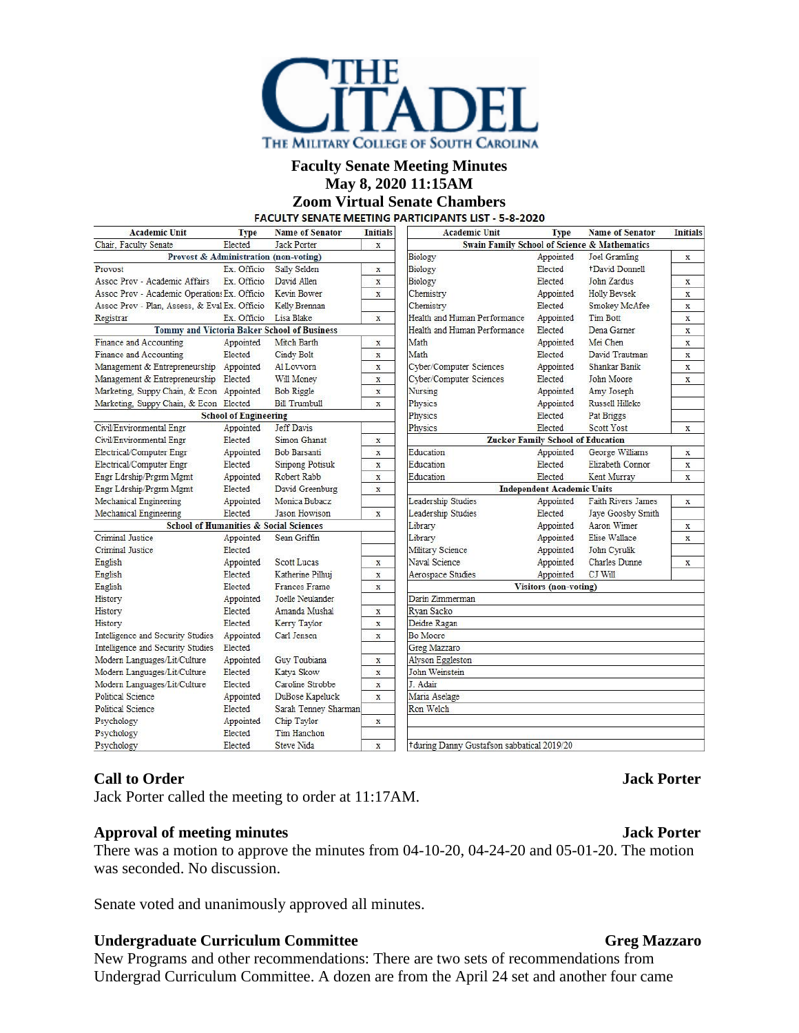

### **Faculty Senate Meeting Minutes May 8, 2020 11:15AM**

# **Zoom Virtual Senate Chambers**

| <b>Academic Unit</b>                                        | <b>Type</b>                  | <b>Name of Senator</b>  | <b>Initials</b> | <b>Academic Unit</b>                                    | <b>Type</b> | <b>Name of Senator</b>    | <b>Initials</b>         |
|-------------------------------------------------------------|------------------------------|-------------------------|-----------------|---------------------------------------------------------|-------------|---------------------------|-------------------------|
| Chair. Faculty Senate<br>Elected<br><b>Jack Porter</b><br>X |                              |                         |                 | <b>Swain Family School of Science &amp; Mathematics</b> |             |                           |                         |
| Provost & Administration (non-voting)                       |                              |                         |                 | Biology                                                 | Appointed   | Joel Gramling             | x                       |
| Provost                                                     | Ex. Officio                  | Sally Selden            | $\mathbf x$     | Biology                                                 | Elected     | +David Donnell            |                         |
| Assoc Prov - Academic Affairs                               | Ex. Officio                  | David Allen             | $\mathbf X$     | Biology                                                 | Elected     | John Zardus               | $\mathbf x$             |
| Assoc Prov - Academic Operation: Ex. Officio                |                              | Kevin Bower             | X               | Chemistry                                               | Appointed   | <b>Holly Beysek</b>       | X                       |
| Assoc Prov - Plan, Assess, & Eval Ex. Officio               |                              | Kelly Brennan           |                 | Chemistry                                               | Elected     | Smokey McAfee             | $\mathbf x$             |
| Registrar                                                   | Ex. Officio                  | Lisa Blake              | $\mathbf x$     | Health and Human Performance                            | Appointed   | <b>Tim Bott</b>           | $\mathbf x$             |
| <b>Tommy and Victoria Baker School of Business</b>          |                              |                         |                 | Health and Human Performance                            | Elected     | Dena Garner               | $\mathbf X$             |
| Finance and Accounting                                      | Appointed                    | Mitch Barth             | $\mathbf X$     | Math                                                    | Appointed   | Mei Chen                  | $\mathbf x$             |
| Finance and Accounting                                      | Elected                      | Cindy Bolt              | x               | Math                                                    | Elected     | David Trautman            | X                       |
| Management & Entrepreneurship Appointed                     |                              | Al Lovvorn              | X               | Cyber/Computer Sciences                                 | Appointed   | Shankar Banik             | X                       |
| Management & Entrepreneurship Elected                       |                              | Will Money              | $\mathbf x$     | Cyber/Computer Sciences                                 | Elected     | John Moore                | $\overline{\mathbf{x}}$ |
| Marketing, Suppy Chain, & Econ Appointed                    |                              | <b>Bob Riggle</b>       | X               | Nursing                                                 | Appointed   | Amy Joseph                |                         |
| Marketing, Suppy Chain, & Econ Elected                      |                              | <b>Bill Trumbull</b>    | X               | Physics                                                 | Appointed   | Russell Hilleke           |                         |
|                                                             | <b>School of Engineering</b> |                         |                 | Physics                                                 | Elected     | Pat Briggs                |                         |
| Civil/Environmental Engr                                    | Appointed                    | <b>Jeff Davis</b>       |                 | Physics                                                 | Elected     | <b>Scott Yost</b>         | $\mathbf x$             |
| Civil/Environmental Engr                                    | Elected                      | Simon Ghanat            | $\mathbf x$     | <b>Zucker Family School of Education</b>                |             |                           |                         |
| Electrical/Computer Engr                                    | Appointed                    | <b>Bob Barsanti</b>     | $\mathbf X$     | Education                                               | Appointed   | George Williams           | $\mathbf x$             |
| Electrical/Computer Engr                                    | Elected                      | <b>Siripong Potisuk</b> | $\mathbf x$     | Education                                               | Elected     | Elizabeth Connor          | $\mathbf X$             |
| Engr Ldrship/Prgrm Mgmt                                     | Appointed                    | Robert Rabb             | X               | Education                                               | Elected     | Kent Murray               | X                       |
| <b>Engr Ldrship/Prgrm Mgmt</b>                              | Elected                      | David Greenburg         | X               | <b>Independent Academic Units</b>                       |             |                           |                         |
| Mechanical Engineering                                      | Appointed                    | Monica Bubacz           |                 | Leadership Studies                                      | Appointed   | <b>Faith Rivers James</b> | $\mathbf x$             |
| Mechanical Engineering                                      | Elected                      | <b>Jason Howison</b>    | $\mathbf x$     | Leadership Studies                                      | Elected     | Jaye Goosby Smith         |                         |
| <b>School of Humanities &amp; Social Sciences</b>           |                              |                         |                 | Library                                                 | Appointed   | Aaron Wimer               | X                       |
| Criminal Justice                                            | Appointed                    | Sean Griffin            |                 | Library                                                 | Appointed   | Elise Wallace             | X                       |
| Criminal Justice                                            | Elected                      |                         |                 | Military Science                                        | Appointed   | John Cyrulik              |                         |
| English                                                     | Appointed                    | <b>Scott Lucas</b>      | X               | Naval Science                                           | Appointed   | <b>Charles</b> Dunne      | X                       |
| English                                                     | Elected                      | Katherine Pilhuj        | X               | Aerospace Studies                                       | Appointed   | CJ Will                   |                         |
| English                                                     | Elected                      | <b>Frances Frame</b>    | $\mathbf x$     | <b>Visitors</b> (non-voting)                            |             |                           |                         |
| History                                                     | Appointed                    | Toelle Neulander        |                 | Darin Zimmerman                                         |             |                           |                         |
| History                                                     | Elected                      | Amanda Mushal           | X               | Ryan Sacko                                              |             |                           |                         |
| History                                                     | Elected                      | Kerry Taylor            | X               | Deidre Ragan                                            |             |                           |                         |
| Intelligence and Security Studies                           | Appointed                    | Carl Jensen             | X               | Bo Moore                                                |             |                           |                         |
| Intelligence and Security Studies                           | Elected                      |                         |                 | Greg Mazzaro                                            |             |                           |                         |
| Modern Languages/Lit/Culture                                | Appointed                    | Guy Toubiana            | X               | <b>Alyson Eggleston</b>                                 |             |                           |                         |
| Modern Languages/Lit/Culture                                | Elected                      | Katya Skow              | $\mathbf x$     | John Weinstein                                          |             |                           |                         |
| Modern Languages/Lit/Culture                                | Elected                      | Caroline Strobbe        | $\mathbf x$     | J. Adair                                                |             |                           |                         |
| <b>Political Science</b>                                    | Appointed                    | DuBose Kapeluck         | X               | Maria Aselage                                           |             |                           |                         |
| <b>Political Science</b>                                    | Elected                      | Sarah Tenney Sharman    |                 | Ron Welch                                               |             |                           |                         |
| Psychology                                                  | Appointed                    | Chip Taylor             | $\mathbf x$     |                                                         |             |                           |                         |
| Psychology                                                  | Elected                      | Tim Hanchon             |                 |                                                         |             |                           |                         |
| Psychology                                                  | Elected                      | <b>Steve Nida</b>       | $\mathbf X$     | +during Danny Gustafson sabbatical 2019/20              |             |                           |                         |

# **Call to Order Jack Porter**

Jack Porter called the meeting to order at 11:17AM.

# **Approval of meeting minutes Jack Porter**

There was a motion to approve the minutes from 04-10-20, 04-24-20 and 05-01-20. The motion was seconded. No discussion.

Senate voted and unanimously approved all minutes.

# **Undergraduate Curriculum Committee Gregorian Gregorian Gregorian Gregorian Gregorian Gregorian Gregorian Gregorian Gregorian Gregorian Gregorian Gregorian Gregorian Gregorian Gregorian Gregorian Gregorian Gregorian Gregor**

New Programs and other recommendations: There are two sets of recommendations from Undergrad Curriculum Committee. A dozen are from the April 24 set and another four came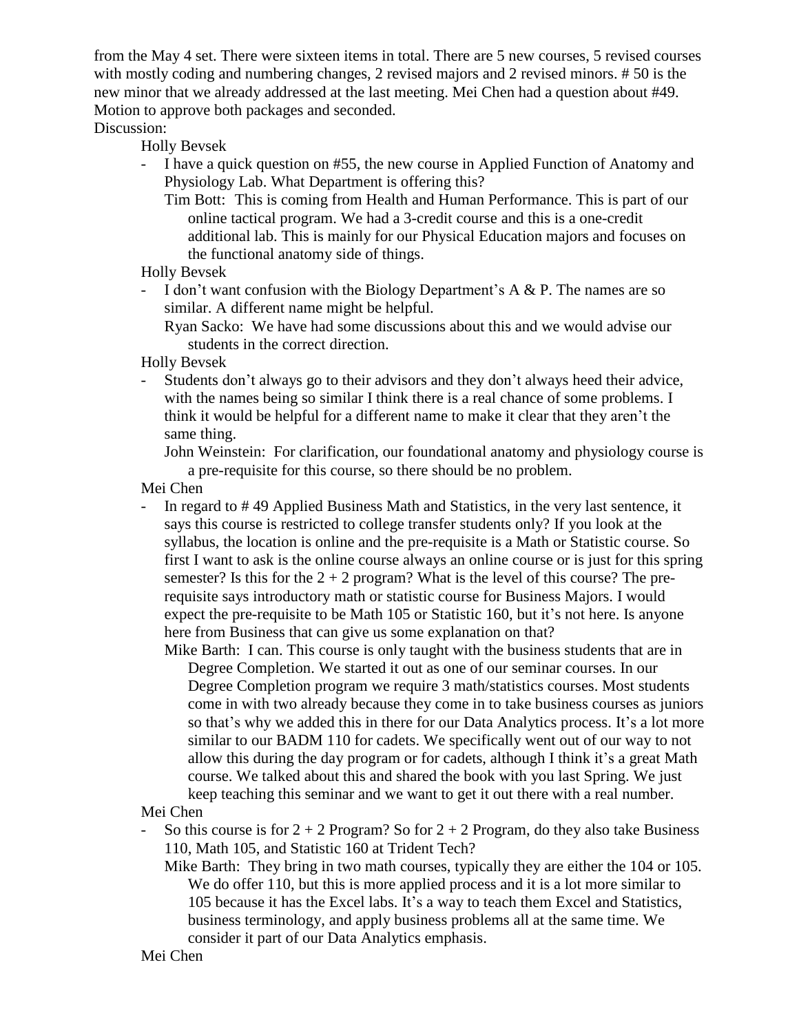from the May 4 set. There were sixteen items in total. There are 5 new courses, 5 revised courses with mostly coding and numbering changes, 2 revised majors and 2 revised minors. # 50 is the new minor that we already addressed at the last meeting. Mei Chen had a question about #49. Motion to approve both packages and seconded.

Discussion:

Holly Bevsek

- I have a quick question on #55, the new course in Applied Function of Anatomy and Physiology Lab. What Department is offering this?

Tim Bott: This is coming from Health and Human Performance. This is part of our online tactical program. We had a 3-credit course and this is a one-credit additional lab. This is mainly for our Physical Education majors and focuses on the functional anatomy side of things.

- Holly Bevsek
- I don't want confusion with the Biology Department's  $A \& P$ . The names are so similar. A different name might be helpful.

Ryan Sacko: We have had some discussions about this and we would advise our students in the correct direction.

Holly Bevsek

- Students don't always go to their advisors and they don't always heed their advice, with the names being so similar I think there is a real chance of some problems. I think it would be helpful for a different name to make it clear that they aren't the same thing.

John Weinstein: For clarification, our foundational anatomy and physiology course is a pre-requisite for this course, so there should be no problem.

Mei Chen

- In regard to # 49 Applied Business Math and Statistics, in the very last sentence, it says this course is restricted to college transfer students only? If you look at the syllabus, the location is online and the pre-requisite is a Math or Statistic course. So first I want to ask is the online course always an online course or is just for this spring semester? Is this for the  $2 + 2$  program? What is the level of this course? The prerequisite says introductory math or statistic course for Business Majors. I would expect the pre-requisite to be Math 105 or Statistic 160, but it's not here. Is anyone here from Business that can give us some explanation on that?

Mike Barth: I can. This course is only taught with the business students that are in Degree Completion. We started it out as one of our seminar courses. In our Degree Completion program we require 3 math/statistics courses. Most students come in with two already because they come in to take business courses as juniors so that's why we added this in there for our Data Analytics process. It's a lot more similar to our BADM 110 for cadets. We specifically went out of our way to not allow this during the day program or for cadets, although I think it's a great Math course. We talked about this and shared the book with you last Spring. We just keep teaching this seminar and we want to get it out there with a real number.

# Mei Chen

- So this course is for  $2 + 2$  Program? So for  $2 + 2$  Program, do they also take Business 110, Math 105, and Statistic 160 at Trident Tech?
	- Mike Barth: They bring in two math courses, typically they are either the 104 or 105. We do offer 110, but this is more applied process and it is a lot more similar to 105 because it has the Excel labs. It's a way to teach them Excel and Statistics, business terminology, and apply business problems all at the same time. We consider it part of our Data Analytics emphasis.

Mei Chen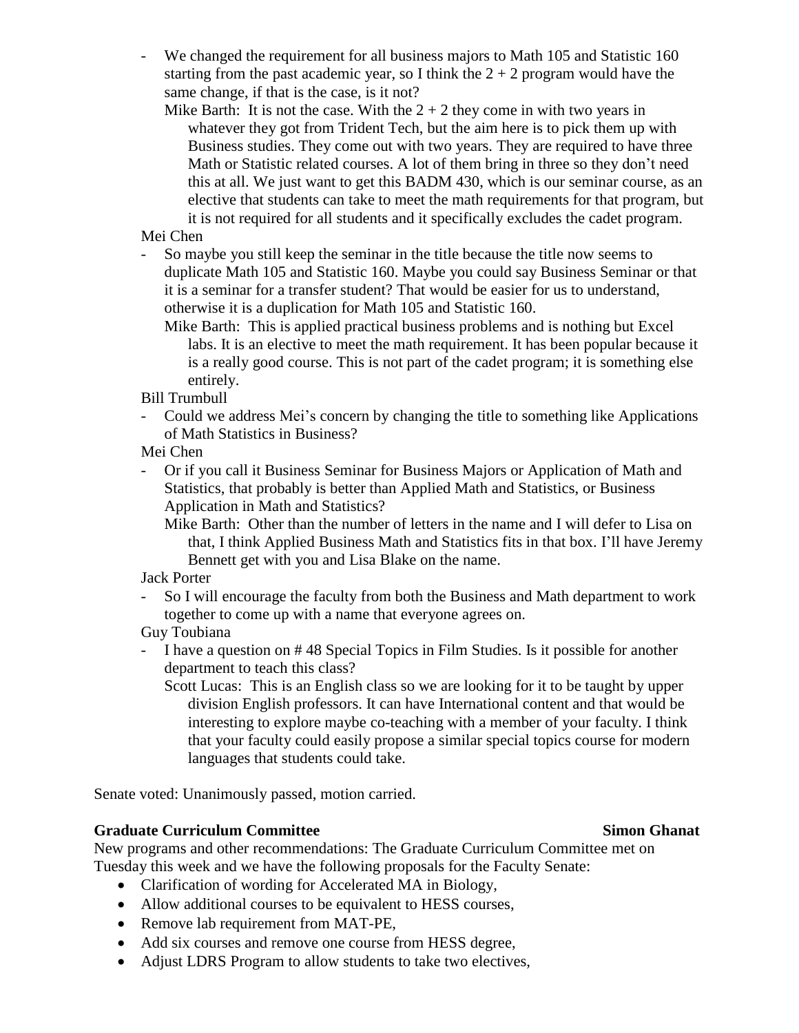- We changed the requirement for all business majors to Math 105 and Statistic 160 starting from the past academic year, so I think the  $2 + 2$  program would have the same change, if that is the case, is it not?

Mike Barth: It is not the case. With the  $2 + 2$  they come in with two years in whatever they got from Trident Tech, but the aim here is to pick them up with Business studies. They come out with two years. They are required to have three Math or Statistic related courses. A lot of them bring in three so they don't need this at all. We just want to get this BADM 430, which is our seminar course, as an elective that students can take to meet the math requirements for that program, but it is not required for all students and it specifically excludes the cadet program.

Mei Chen

- So maybe you still keep the seminar in the title because the title now seems to duplicate Math 105 and Statistic 160. Maybe you could say Business Seminar or that it is a seminar for a transfer student? That would be easier for us to understand, otherwise it is a duplication for Math 105 and Statistic 160.
	- Mike Barth: This is applied practical business problems and is nothing but Excel labs. It is an elective to meet the math requirement. It has been popular because it is a really good course. This is not part of the cadet program; it is something else entirely.

Bill Trumbull

- Could we address Mei's concern by changing the title to something like Applications of Math Statistics in Business?

Mei Chen

- Or if you call it Business Seminar for Business Majors or Application of Math and Statistics, that probably is better than Applied Math and Statistics, or Business Application in Math and Statistics?

Mike Barth: Other than the number of letters in the name and I will defer to Lisa on that, I think Applied Business Math and Statistics fits in that box. I'll have Jeremy Bennett get with you and Lisa Blake on the name.

Jack Porter

- So I will encourage the faculty from both the Business and Math department to work together to come up with a name that everyone agrees on.

Guy Toubiana

- I have a question on # 48 Special Topics in Film Studies. Is it possible for another department to teach this class?
	- Scott Lucas: This is an English class so we are looking for it to be taught by upper division English professors. It can have International content and that would be interesting to explore maybe co-teaching with a member of your faculty. I think that your faculty could easily propose a similar special topics course for modern languages that students could take.

Senate voted: Unanimously passed, motion carried.

# **Graduate Curriculum Committee Simon Ghanat**

New programs and other recommendations: The Graduate Curriculum Committee met on Tuesday this week and we have the following proposals for the Faculty Senate:

- Clarification of wording for Accelerated MA in Biology,
- Allow additional courses to be equivalent to HESS courses,
- Remove lab requirement from MAT-PE,
- Add six courses and remove one course from HESS degree,
- Adjust LDRS Program to allow students to take two electives,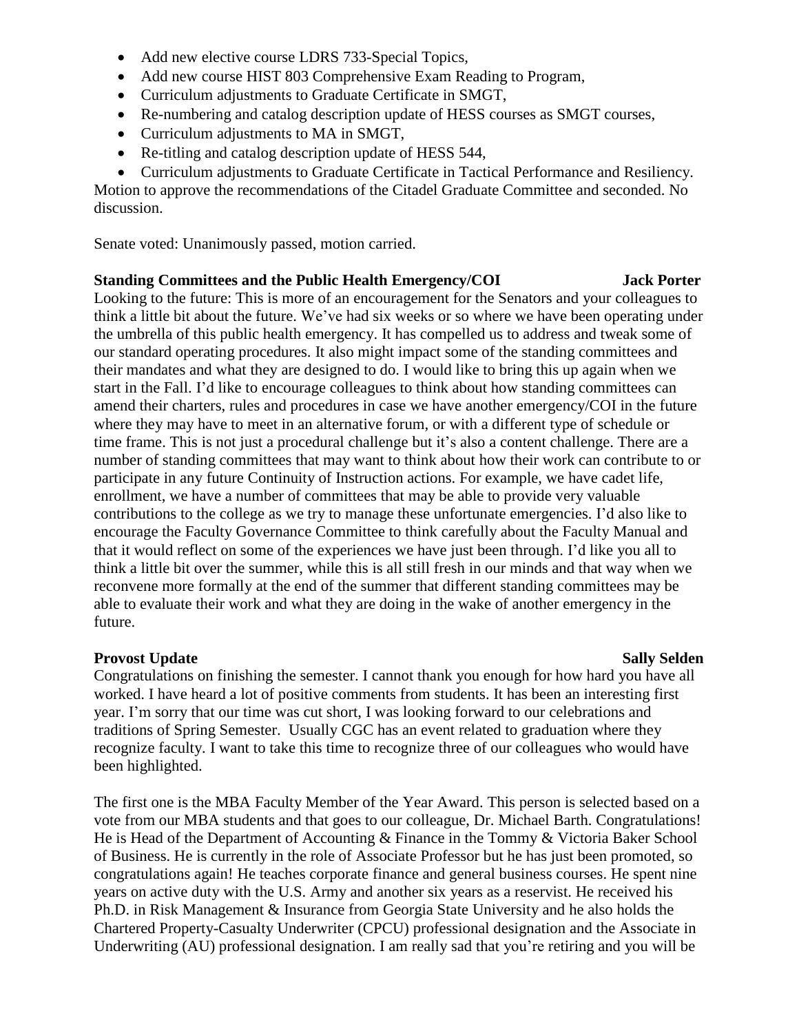- Add new elective course LDRS 733-Special Topics,
- Add new course HIST 803 Comprehensive Exam Reading to Program,
- Curriculum adjustments to Graduate Certificate in SMGT,
- Re-numbering and catalog description update of HESS courses as SMGT courses,
- Curriculum adjustments to MA in SMGT,
- Re-titling and catalog description update of HESS 544,
- Curriculum adjustments to Graduate Certificate in Tactical Performance and Resiliency.

Motion to approve the recommendations of the Citadel Graduate Committee and seconded. No discussion.

Senate voted: Unanimously passed, motion carried.

# **Standing Committees and the Public Health Emergency/COI Jack Porter**

Looking to the future: This is more of an encouragement for the Senators and your colleagues to think a little bit about the future. We've had six weeks or so where we have been operating under the umbrella of this public health emergency. It has compelled us to address and tweak some of our standard operating procedures. It also might impact some of the standing committees and their mandates and what they are designed to do. I would like to bring this up again when we start in the Fall. I'd like to encourage colleagues to think about how standing committees can amend their charters, rules and procedures in case we have another emergency/COI in the future where they may have to meet in an alternative forum, or with a different type of schedule or time frame. This is not just a procedural challenge but it's also a content challenge. There are a number of standing committees that may want to think about how their work can contribute to or participate in any future Continuity of Instruction actions. For example, we have cadet life, enrollment, we have a number of committees that may be able to provide very valuable contributions to the college as we try to manage these unfortunate emergencies. I'd also like to encourage the Faculty Governance Committee to think carefully about the Faculty Manual and that it would reflect on some of the experiences we have just been through. I'd like you all to think a little bit over the summer, while this is all still fresh in our minds and that way when we reconvene more formally at the end of the summer that different standing committees may be able to evaluate their work and what they are doing in the wake of another emergency in the future.

# **Provost** Update Sally Selden

Congratulations on finishing the semester. I cannot thank you enough for how hard you have all worked. I have heard a lot of positive comments from students. It has been an interesting first year. I'm sorry that our time was cut short, I was looking forward to our celebrations and traditions of Spring Semester. Usually CGC has an event related to graduation where they recognize faculty. I want to take this time to recognize three of our colleagues who would have been highlighted.

The first one is the MBA Faculty Member of the Year Award. This person is selected based on a vote from our MBA students and that goes to our colleague, Dr. Michael Barth. Congratulations! He is Head of the Department of Accounting & Finance in the Tommy & Victoria Baker School of Business. He is currently in the role of Associate Professor but he has just been promoted, so congratulations again! He teaches corporate finance and general business courses. He spent nine years on active duty with the U.S. Army and another six years as a reservist. He received his Ph.D. in Risk Management & Insurance from Georgia State University and he also holds the Chartered Property-Casualty Underwriter (CPCU) professional designation and the Associate in Underwriting (AU) professional designation. I am really sad that you're retiring and you will be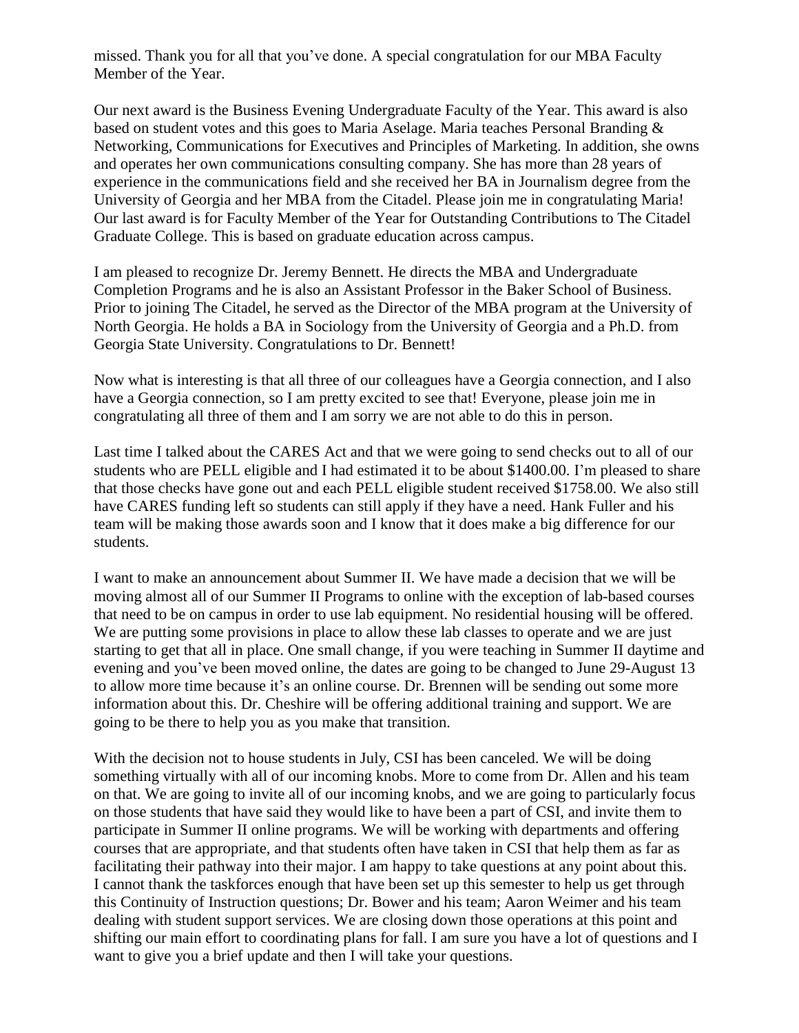missed. Thank you for all that you've done. A special congratulation for our MBA Faculty Member of the Year.

Our next award is the Business Evening Undergraduate Faculty of the Year. This award is also based on student votes and this goes to Maria Aselage. Maria teaches Personal Branding & Networking, Communications for Executives and Principles of Marketing. In addition, she owns and operates her own communications consulting company. She has more than 28 years of experience in the communications field and she received her BA in Journalism degree from the University of Georgia and her MBA from the Citadel. Please join me in congratulating Maria! Our last award is for Faculty Member of the Year for Outstanding Contributions to The Citadel Graduate College. This is based on graduate education across campus.

I am pleased to recognize Dr. Jeremy Bennett. He directs the MBA and Undergraduate Completion Programs and he is also an Assistant Professor in the Baker School of Business. Prior to joining The Citadel, he served as the Director of the MBA program at the University of North Georgia. He holds a BA in Sociology from the University of Georgia and a Ph.D. from Georgia State University. Congratulations to Dr. Bennett!

Now what is interesting is that all three of our colleagues have a Georgia connection, and I also have a Georgia connection, so I am pretty excited to see that! Everyone, please join me in congratulating all three of them and I am sorry we are not able to do this in person.

Last time I talked about the CARES Act and that we were going to send checks out to all of our students who are PELL eligible and I had estimated it to be about \$1400.00. I'm pleased to share that those checks have gone out and each PELL eligible student received \$1758.00. We also still have CARES funding left so students can still apply if they have a need. Hank Fuller and his team will be making those awards soon and I know that it does make a big difference for our students.

I want to make an announcement about Summer II. We have made a decision that we will be moving almost all of our Summer II Programs to online with the exception of lab-based courses that need to be on campus in order to use lab equipment. No residential housing will be offered. We are putting some provisions in place to allow these lab classes to operate and we are just starting to get that all in place. One small change, if you were teaching in Summer II daytime and evening and you've been moved online, the dates are going to be changed to June 29-August 13 to allow more time because it's an online course. Dr. Brennen will be sending out some more information about this. Dr. Cheshire will be offering additional training and support. We are going to be there to help you as you make that transition.

With the decision not to house students in July, CSI has been canceled. We will be doing something virtually with all of our incoming knobs. More to come from Dr. Allen and his team on that. We are going to invite all of our incoming knobs, and we are going to particularly focus on those students that have said they would like to have been a part of CSI, and invite them to participate in Summer II online programs. We will be working with departments and offering courses that are appropriate, and that students often have taken in CSI that help them as far as facilitating their pathway into their major. I am happy to take questions at any point about this. I cannot thank the taskforces enough that have been set up this semester to help us get through this Continuity of Instruction questions; Dr. Bower and his team; Aaron Weimer and his team dealing with student support services. We are closing down those operations at this point and shifting our main effort to coordinating plans for fall. I am sure you have a lot of questions and I want to give you a brief update and then I will take your questions.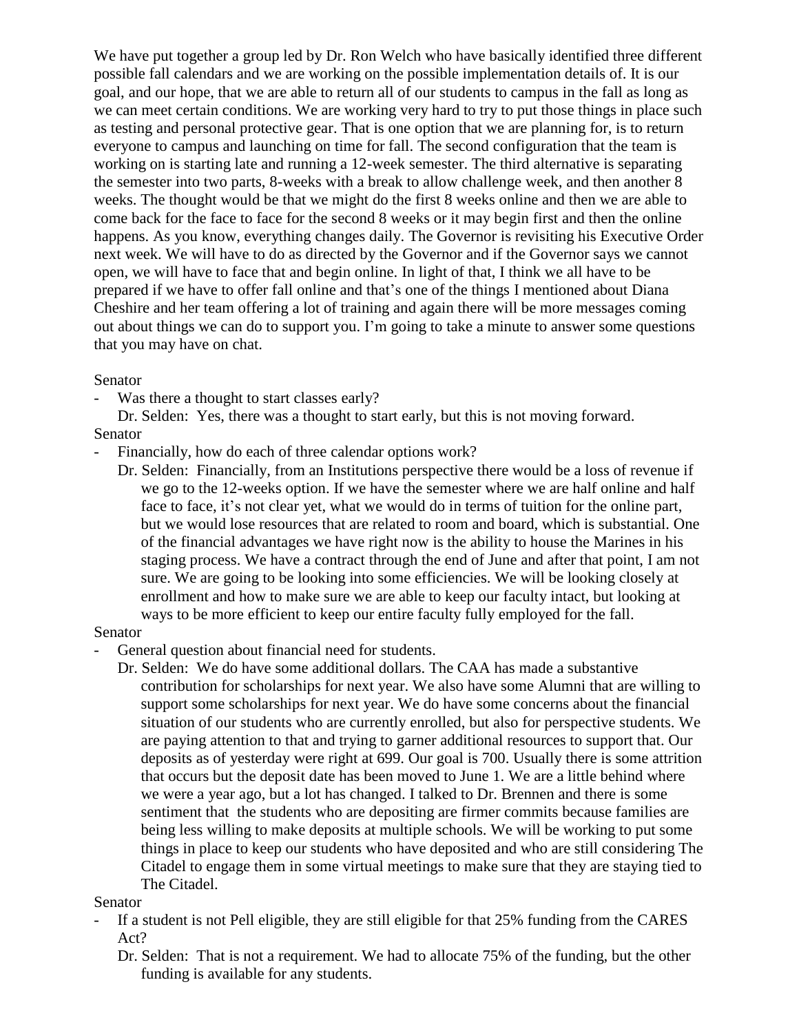We have put together a group led by Dr. Ron Welch who have basically identified three different possible fall calendars and we are working on the possible implementation details of. It is our goal, and our hope, that we are able to return all of our students to campus in the fall as long as we can meet certain conditions. We are working very hard to try to put those things in place such as testing and personal protective gear. That is one option that we are planning for, is to return everyone to campus and launching on time for fall. The second configuration that the team is working on is starting late and running a 12-week semester. The third alternative is separating the semester into two parts, 8-weeks with a break to allow challenge week, and then another 8 weeks. The thought would be that we might do the first 8 weeks online and then we are able to come back for the face to face for the second 8 weeks or it may begin first and then the online happens. As you know, everything changes daily. The Governor is revisiting his Executive Order next week. We will have to do as directed by the Governor and if the Governor says we cannot open, we will have to face that and begin online. In light of that, I think we all have to be prepared if we have to offer fall online and that's one of the things I mentioned about Diana Cheshire and her team offering a lot of training and again there will be more messages coming out about things we can do to support you. I'm going to take a minute to answer some questions that you may have on chat.

# Senator

Was there a thought to start classes early?

Dr. Selden: Yes, there was a thought to start early, but this is not moving forward. Senator

- Financially, how do each of three calendar options work?
	- Dr. Selden: Financially, from an Institutions perspective there would be a loss of revenue if we go to the 12-weeks option. If we have the semester where we are half online and half face to face, it's not clear yet, what we would do in terms of tuition for the online part, but we would lose resources that are related to room and board, which is substantial. One of the financial advantages we have right now is the ability to house the Marines in his staging process. We have a contract through the end of June and after that point, I am not sure. We are going to be looking into some efficiencies. We will be looking closely at enrollment and how to make sure we are able to keep our faculty intact, but looking at ways to be more efficient to keep our entire faculty fully employed for the fall.

# Senator

- General question about financial need for students.
	- Dr. Selden: We do have some additional dollars. The CAA has made a substantive contribution for scholarships for next year. We also have some Alumni that are willing to support some scholarships for next year. We do have some concerns about the financial situation of our students who are currently enrolled, but also for perspective students. We are paying attention to that and trying to garner additional resources to support that. Our deposits as of yesterday were right at 699. Our goal is 700. Usually there is some attrition that occurs but the deposit date has been moved to June 1. We are a little behind where we were a year ago, but a lot has changed. I talked to Dr. Brennen and there is some sentiment that the students who are depositing are firmer commits because families are being less willing to make deposits at multiple schools. We will be working to put some things in place to keep our students who have deposited and who are still considering The Citadel to engage them in some virtual meetings to make sure that they are staying tied to The Citadel.

# Senator

- If a student is not Pell eligible, they are still eligible for that 25% funding from the CARES Act?
	- Dr. Selden: That is not a requirement. We had to allocate 75% of the funding, but the other funding is available for any students.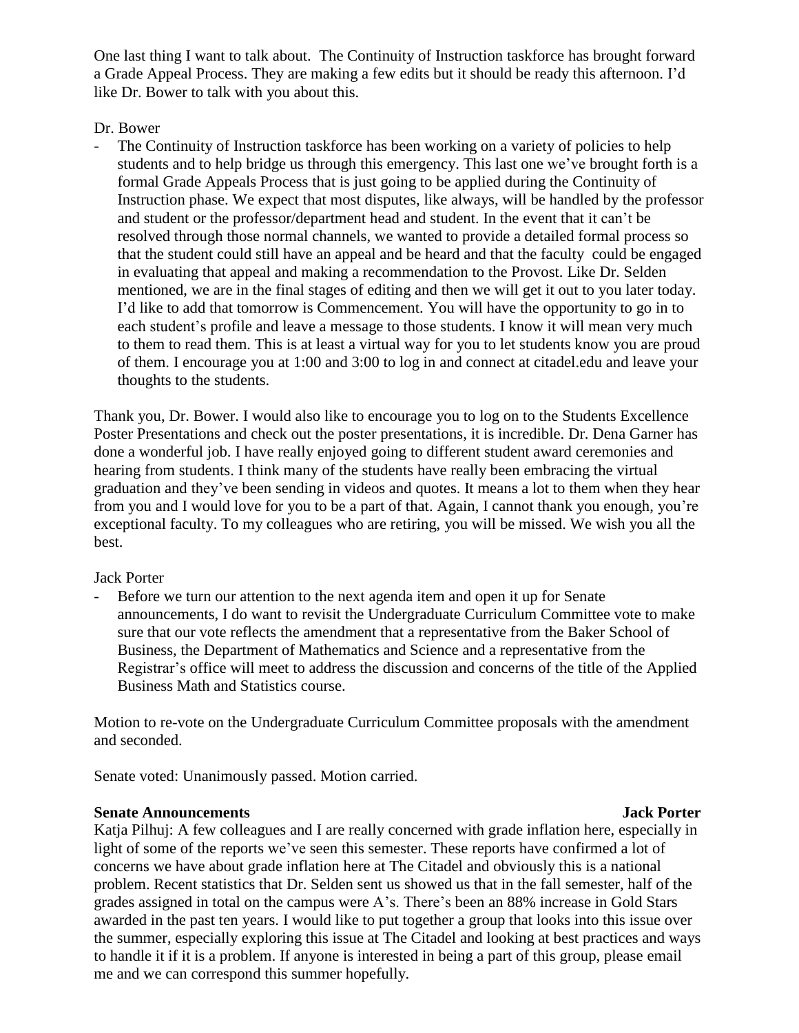One last thing I want to talk about. The Continuity of Instruction taskforce has brought forward a Grade Appeal Process. They are making a few edits but it should be ready this afternoon. I'd like Dr. Bower to talk with you about this.

# Dr. Bower

- The Continuity of Instruction taskforce has been working on a variety of policies to help students and to help bridge us through this emergency. This last one we've brought forth is a formal Grade Appeals Process that is just going to be applied during the Continuity of Instruction phase. We expect that most disputes, like always, will be handled by the professor and student or the professor/department head and student. In the event that it can't be resolved through those normal channels, we wanted to provide a detailed formal process so that the student could still have an appeal and be heard and that the faculty could be engaged in evaluating that appeal and making a recommendation to the Provost. Like Dr. Selden mentioned, we are in the final stages of editing and then we will get it out to you later today. I'd like to add that tomorrow is Commencement. You will have the opportunity to go in to each student's profile and leave a message to those students. I know it will mean very much to them to read them. This is at least a virtual way for you to let students know you are proud of them. I encourage you at 1:00 and 3:00 to log in and connect at citadel.edu and leave your thoughts to the students.

Thank you, Dr. Bower. I would also like to encourage you to log on to the Students Excellence Poster Presentations and check out the poster presentations, it is incredible. Dr. Dena Garner has done a wonderful job. I have really enjoyed going to different student award ceremonies and hearing from students. I think many of the students have really been embracing the virtual graduation and they've been sending in videos and quotes. It means a lot to them when they hear from you and I would love for you to be a part of that. Again, I cannot thank you enough, you're exceptional faculty. To my colleagues who are retiring, you will be missed. We wish you all the best.

# Jack Porter

Before we turn our attention to the next agenda item and open it up for Senate announcements, I do want to revisit the Undergraduate Curriculum Committee vote to make sure that our vote reflects the amendment that a representative from the Baker School of Business, the Department of Mathematics and Science and a representative from the Registrar's office will meet to address the discussion and concerns of the title of the Applied Business Math and Statistics course.

Motion to re-vote on the Undergraduate Curriculum Committee proposals with the amendment and seconded.

Senate voted: Unanimously passed. Motion carried.

# **Senate Announcements Jack Porter**

Katja Pilhuj: A few colleagues and I are really concerned with grade inflation here, especially in light of some of the reports we've seen this semester. These reports have confirmed a lot of concerns we have about grade inflation here at The Citadel and obviously this is a national problem. Recent statistics that Dr. Selden sent us showed us that in the fall semester, half of the grades assigned in total on the campus were A's. There's been an 88% increase in Gold Stars awarded in the past ten years. I would like to put together a group that looks into this issue over the summer, especially exploring this issue at The Citadel and looking at best practices and ways to handle it if it is a problem. If anyone is interested in being a part of this group, please email me and we can correspond this summer hopefully.